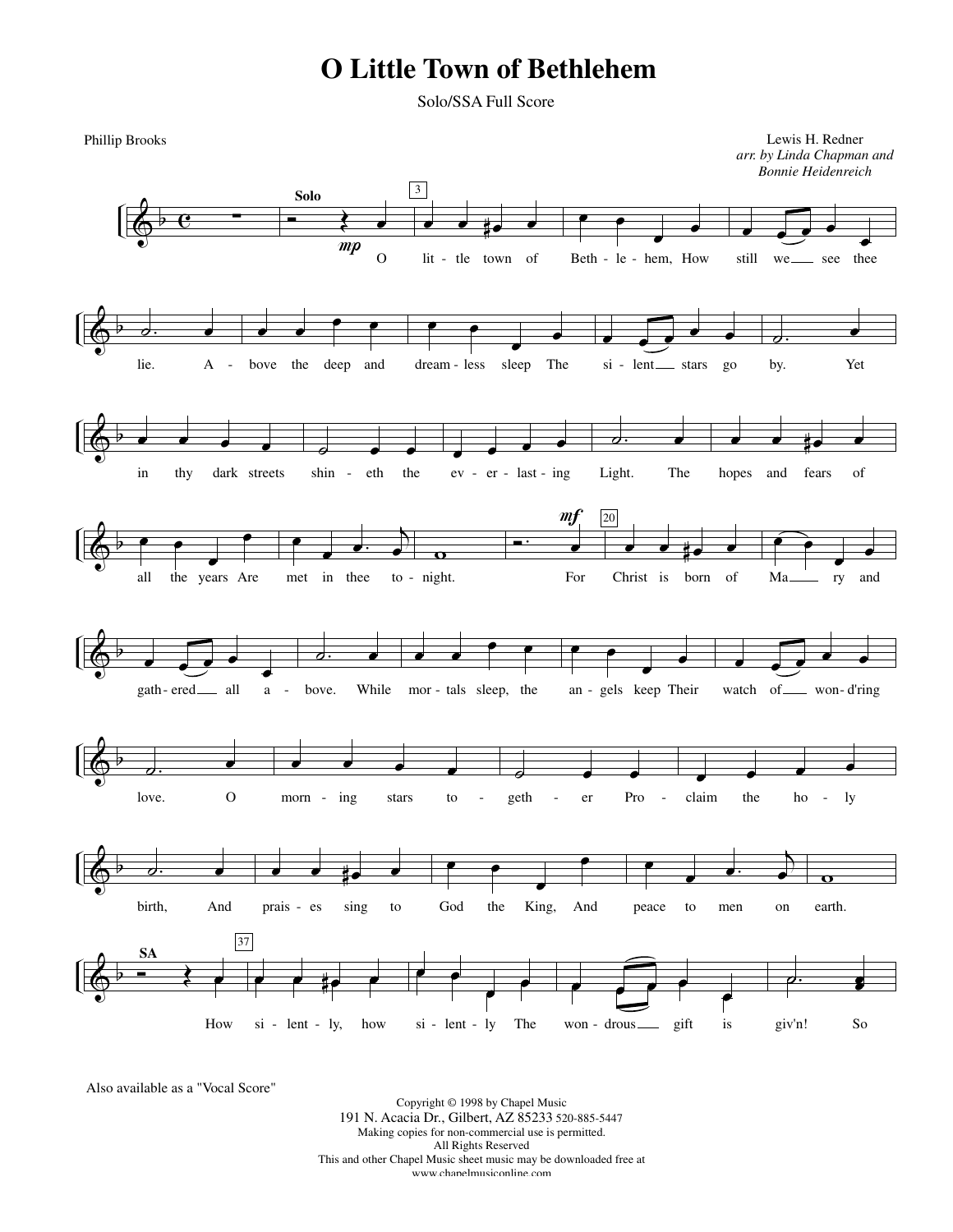## **O Little Town of Bethlehem**

Solo/SSA Full Score



Also available as a "Vocal Score"

Copyright © 1998 by Chapel Music 191 N. Acacia Dr., Gilbert, AZ 85233 520-885-5447 Making copies for non-commercial use is permitted. All Rights Reserved This and other Chapel Music sheet music may be downloaded free at www.chapelmusiconline.com